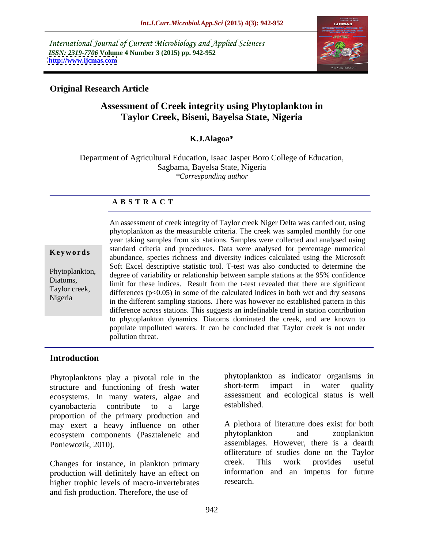International Journal of Current Microbiology and Applied Sciences *ISSN: 2319-7706* **Volume 4 Number 3 (2015) pp. 942-952 <http://www.ijcmas.com>**



## **Original Research Article**

# **Assessment of Creek integrity using Phytoplankton in Taylor Creek, Biseni, Bayelsa State, Nigeria**

## **K.J.Alagoa\***

Department of Agricultural Education, Isaac Jasper Boro College of Education, Sagbama, Bayelsa State, Nigeria *\*Corresponding author*

### **A B S T R A C T**

Nigeria

An assessment of creek integrity of Taylor creek Niger Delta was carried out, using phytoplankton as the measurable criteria. The creek was sampled monthly for one year taking samples from six stations. Samples were collected and analysed using standard criteria and procedures. Data were analysed for percentage numerical **Keywords** standard criteria and procedures. Data were analysed for percentage numerical abundance, species richness and diversity indices calculated using the Microsoft Soft Excel descriptive statistic tool. T-test was also conducted to determine the Phytoplankton,<br>degree of variability or relationship between sample stations at the 95% confidence Diatoms,<br>The these indices. Result from the t-test revealed that there are significant Taylor creek,<br>differences (p<0.05) in some of the calculated indices in both wet and dry seasons in the different sampling stations. There was however no established pattern in this difference across stations. This suggests an indefinable trend in station contribution to phytoplankton dynamics. Diatoms dominated the creek, and are known to populate unpolluted waters. It can be concluded that Taylor creek is not under pollution threat.

### **Introduction**

Phytoplanktons play a pivotal role in the phytoplankton as indicator organisms in<br>structure and functioning of fresh water short-term impact in water quality structure and functioning of fresh water ecosystems. In many waters, algae and assessment<br>cyanopacteria contribute to a large established. cyanobacteria contribute to a large proportion of the primary production and may exert a heavy influence on other A plethora of literature does exist for both ecosystem components (Pasztaleneic and phytoplankton and zooplankton ecosystem components (Pasztaleneic and

production will definitely have an effect on information<br>higher trophic levels of macro-invertebrates research. higher trophic levels of macro-invertebrates and fish production. Therefore, the use of

phytoplankton as indicator organisms in short-term impact in water quality assessment and ecological status is well established.

Poniewozik, 2010). **Example 2010** assemblages. However, there is a dearth Changes for instance, in plankton primary creek. This work provides useful A plethora of literature does exist for both phytoplankton and zooplankton ofliterature of studies done on the Taylor creek. This work provides useful information and an impetus for future research.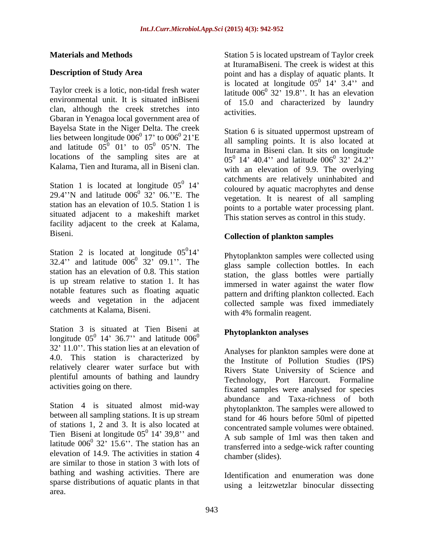Taylor creek is a lotic, non-tidal fresh water environmental unit. It is situated inBiseni clan, although the creek stretches into Gbaran in Yenagoa local government area of Bayelsa State in the Niger Delta. The creek lies between longitude  $006^{\circ}$  17' to  $006^{\circ}$  21'E locations of the sampling sites are at Kalama, Tien and Iturama, all in Biseni clan.

Station 1 is located at longitude  $05^0$  14' 29.4"N and latitude  $006^{\circ}$  32" 06."E. The station has an elevation of 10.5. Station 1 is situated adjacent to a makeshift market facility adjacent to the creek at Kalama, Biseni. **Collection of plankton samples**

Station 2 is located at longitude  $05^014'$ <br>32.4" and latitude  $006^0$  32"  $09.1"$ . The station has an elevation of 0.8. This station is up stream relative to station 1. It has notable features such as floating aquatic weeds and vegetation in the adjacent catchments at Kalama, Biseni.

Station 3 is situated at Tien Biseni at longitude  $0.05^{\circ}$  14' 36.7'' and latitude  $0.06^{\circ}$  $32'$  11.0". This station lies at an elevation of 4.0. This station is characterized by relatively clearer water surface but with plentiful amounts of bathing and laundry

Station 4 is situated almost mid-way between all sampling stations. It is up stream of stations 1, 2 and 3. It is also located at Tien Biseni at longitude  $05^0$  14' 39,8" and latitude  $006^{\circ}$  32' 15.6''. The station has an  $\frac{1}{1}$  ransferred into a sedge-wick rafter counting elevation of 14.9. The activities in station 4 are similar to those in station 3 with lots of bathing and washing activities. There are sparse distributions of aquatic plants in that area.

**Materials and Methods** Station 5 is located upstream of Taylor creek **Description of Study Area** point and has a display of aquatic plants. It at IturamaBiseni. The creek is widest at this is located at longitude  $05^{\circ}$  14' 3.4" and  $0 \t14$ , 2.4; and 14'  $3.4$ " and latitude  $006^0$  32' 19.8''. It has an elevation  $32'$  19.8". It has an elevation of 15.0 and characterized by laundry activities.

17' to  $006^{\circ}$  21'E all sampling points. It is also located at  $0.5^{\circ}$   $0.5^{\circ}$ N. The and latitude  $0.05^{\circ}$  0.1' to  $0.05^{\circ}$  0.5'N. The the sampling points. It is also located at 01' to  $05^{\circ}$  05'N. The Iturama in Biseni clan. It sits on longitude  $\frac{0}{14}$  coloured by aquatic macrophytes and dense  $\frac{0}{22}$ ,  $\frac{0}{06}$ ,  $\frac{0}{16}$  The coloured by aquatic macrophytes and dense  $32'$  06. E. The vegetation. It is nearest of all sampling Station 6 is situated uppermost upstream of  $05^0$  14' 40.4'' and latitude  $006^0$  32' 24.2''  $0, 22, 24, 27$ 32' 24.2'' with an elevation of 9.9. The overlying catchments are relatively uninhabited and points to a portable water processing plant. This station serves as control in this study.

 $\begin{array}{c}\n0_{14} \\
\end{array}$ 14 Phytoplankton samples were collected using  $32.4$ " and latitude  $006^{\circ}$   $32^{\circ}$   $09.1$ ". The glass sample collection bottles. In each  $\frac{1}{1}$   $\frac{1}{1}$   $\frac{1}{1}$   $\frac{1}{1}$   $\frac{1}{1}$   $\frac{1}{1}$  $\frac{1}{1}$  $\frac{1}{1}$  $\frac{1}{1}$  $\frac{1}{1}$  $\frac{1}{1}$  $\frac{1}{1}$  $\frac{1}{1}$  $\frac{1}{1}$  $\frac{1}{1}$  $\frac{1}{1}$  $\frac{1}{1}$  $\frac{1}{1}$  $\frac{1}{1}$  $\frac{1}{1}$  $\frac{1}{1}$  $\frac{1}{1}$  $\frac{1}{1}$  $\frac{1}{1}$ station, the glass bottles were partially immersed in water against the water flow pattern and drifting plankton collected. Each collected sample was fixed immediately with 4% formalin reagent.

#### $\mathbf{u}_0$  and  $\mathbf{u}_1$  is the proportional density set of  $\mathbf{u}_1$ **Phytoplankton analyses**

activities going on there.<br>
fixated samples were analysed for species  $\frac{0}{14}$ , 20.9. ord concentrated sample volumes were obtained.  $14'$  39,8" and  $\overline{A}$  sub sample of 1ml was then taken and  $32'$  15.6". The station has an transferred into a sedge-wick rafter counting Analyses for plankton samples were done at the Institute of Pollution Studies (IPS) Rivers State University of Science and Technology, Port Harcourt. Formaline abundance and Taxa-richness of both phytoplankton. The samples were allowed to stand for 46 hours before 50ml of pipetted concentrated sample volumes were obtained. chamber (slides).

> Identification and enumeration was done using a leitzwetzlar binocular dissecting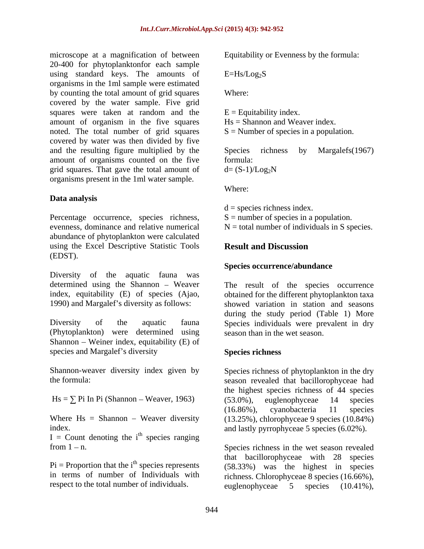microscope at a magnification of between 20-400 for phytoplanktonfor each sample using standard keys. The amounts of  $E=Hs/Log<sub>2</sub>S$ organisms in the 1ml sample were estimated by counting the total amount of grid squares covered by the water sample. Five grid squares were taken at random and the amount of organism in the five squares noted. The total number of grid squares covered by water was then divided by five and the resulting figure multiplied by the Species richness by Margalefs(1967) amount of organisms counted on the five grid squares. That gave the total amount of  $d = (S-1)/Log_2N$ organisms present in the 1ml water sample.

### **Data analysis**

Percentage occurrence, species richness, evenness, dominance and relative numerical  $N =$  total number of individuals in S species. abundance of phytoplankton were calculated using the Excel Descriptive Statistic Tools **Result and Discussion** (EDST).

Diversity of the aquatic fauna was determined using the Shannon – Weaver<br>
The result of the species occurrence

(Phytoplankton) were determined using Shannon – Weiner index, equitability  $(E)$  of species and Margalef's diversity Species richness

 $I =$  Count denoting the i<sup>th</sup> species ranging  $\frac{\text{th}}{\text{m}}$  another ranging species ranging species ranging

 $Pi =$  Proportion that the i<sup>th</sup> species represents

Equitability or Evenness by the formula:

 $E=Hs/Log<sub>2</sub>S$ 

Where: where  $\sim$ 

 $E =$  Equitability index. Hs = Shannon and Weaver index.  $S =$  Number of species in a population.

Species richness by Margalefs(1967) formula:  $d = (S-1)/Log_2N$ 

Where: where  $\sim$ 

 $d =$  species richness index.

 $S =$  number of species in a population.

# **Result and Discussion**

#### **Species occurrence/abundance**

index, equitability (E) of species (Ajao, obtained for the different phytoplankton taxa 1990) and Margalef s diversity as follows: showed variation in station and seasons Diversity of the aquatic fauna Species individuals were prevalent in dry during the study period (Table 1) More season than in the wet season.

### **Species richness**

Shannon-weaver diversity index given by Species richness of phytoplankton in the dry the formula: season revealed that bacillorophyceae had  $Hs = \sum Pi$  In Pi (Shannon – Weaver, 1963) (53.0%), euglenophyceae 14 species Where  $Hs = Shannon - Weaver diversity$  (13.25%), chlorophyceae 9 species (10.84%) index. and lastly pyrrophyceae 5 species (6.02%). the highest species richness of 44 species (53.0%), euglenophyceae 14 species (16.86%), cyanobacteria 11 species

from 1 - n. Species richness in the wet season revealed in terms of number of Individuals with richness. Chlorophyceae 8 species (16.66%), respect to the total number of individuals. euglenophyceae 5 species (10.41%), that bacillorophyceae with 28 species (58.33%) was the highest in species euglenophyceae 5 species (10.41%),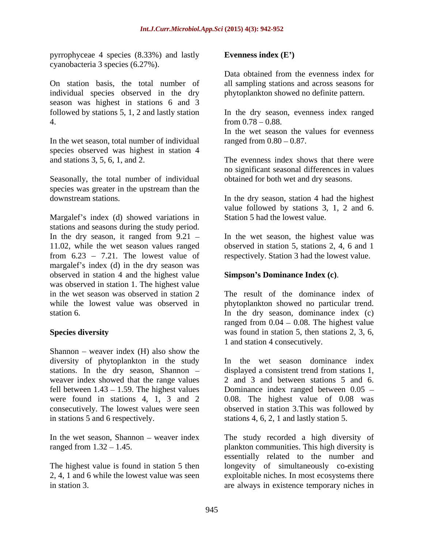pyrrophyceae 4 species  $(8.33\%)$  and lastly Evenness index  $(E')$ cyanobacteria 3 species (6.27%).

On station basis, the total number of individual species observed in the dry season was highest in stations 6 and 3 followed by stations 5, 1, 2 and lastly station 4 from 0.78 – 0.88

In the wet season, total number of individual species observed was highest in station 4 and stations 3, 5, 6, 1, and 2. The evenness index shows that there were

Seasonally, the total number of individual species was greater in the upstream than the downstream stations.

Margalef's index (d) showed variations in stations and seasons during the study period. In the dry season, it ranged from 9.21 In the wet season, the highest value was 11.02, while the wet season values ranged observed in station 5, stations 2, 4, 6 and 1 from  $6.23 - 7.21$ . The lowest value of margalef's index  $(d)$  in the dry season was observed in station 4 and the highest value was observed in station 1. The highest value in the wet season was observed in station 2 The result of the dominance index of while the lowest value was observed in phytoplankton showed no particular trend.

Shannon – weaver index  $(H)$  also show the diversity of phytoplankton in the study stations. In the dry season, Shannon – displayed a consistent trend from stations 1, weaver index showed that the range values

The highest value is found in station 5 then

### **Evenness index (E )**

Data obtained from the evenness index for all sampling stations and across seasons for phytoplankton showed no definite pattern.

In the dry season, evenness index ranged from  $0.78 - 0.88$ .

In the wet season the values for evenness ranged from  $0.80 - 0.87$ .

no significant seasonal differences in values obtained for both wet and dry seasons.

downstream stations. In the dry season, station 4 had the highest value followed by stations 3, 1, 2 and 6. Station 5 had the lowest value.

respectively. Station 3 had the lowest value.

### **Simpson s Dominance Index (c)**.

station 6. In the dry season, dominance index (c) Species diversity **Species** diversity was found in station 5, then stations 2, 3, 6, ranged from  $0.04 - 0.08$ . The highest value 1 and station 4 consecutively.

fell between  $1.43 - 1.59$ . The highest values Dominance index ranged between  $0.05$ were found in stations 4, 1, 3 and 2  $0.08$ . The highest value of  $0.08$  was consecutively. The lowest values were seen observed in station 3.This was followed by in stations 5 and 6 respectively. stations 4, 6, 2, 1 and lastly station 5. In the wet season dominance index displayed a consistent trend from stations 1, 2 and 3 and between stations 5 and 6.

In the wet season, Shannon weaver index The study recorded a high diversity of ranged from 1.32 – 1.45. This high diversity is plankton communities. This high diversity is 2, 4, 1 and 6 while the lowest value was seen exploitable niches. In most ecosystems there in station 3. are always in existence temporary niches inessentially related to the number and longevity of simultaneously co-existing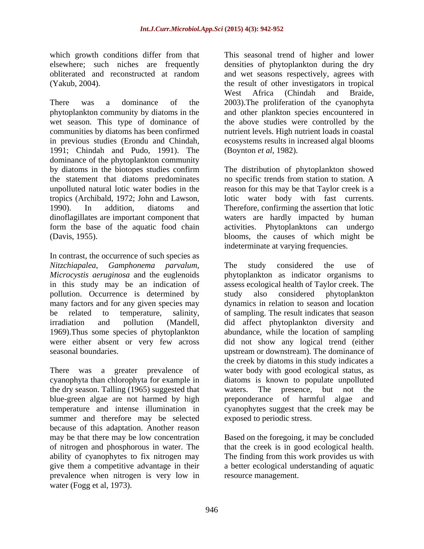which growth conditions differ from that This seasonal trend of higher and lower elsewhere; such niches are frequently densities of phytoplankton during the dry obliterated and reconstructed at random and wet seasons respectively, agrees with

There was a dominance of the 2003).The proliferation of the cyanophyta phytoplankton community by diatoms in the and other plankton species encountered in wet season. This type of dominance of the above studies were controlled by the communities by diatoms has been confirmed in previous studies (Erondu and Chindah, ecosystems results in increased algal blooms 1991; Chindah and Pudo, 1991). The dominance of the phytoplankton community by diatoms in the biotopes studies confirm The distribution of phytoplankton showed the statement that diatoms predominates no specific trends from station to station. A unpolluted natural lotic water bodies in the tropics (Archibald, 1972; John and Lawson, lotic water body with fast currents. 1990). In addition, diatoms and Therefore, confirming the assertion that lotic dinoflagillates are important component that waters are hardly impacted by human form the base of the aquatic food chain activities. Phytoplanktons can undergo

In contrast, the occurrence of such species as pollution. Occurrence is determined by study also considered phytoplankton

the dry season. Talling (1965) suggested that waters. The presence, but not the blue-green algae are not harmed by high preponderance of harmful algae and summer and therefore may be selected because of this adaptation. Another reason<br>may be that there may be low concentration may be that there may be low concentration Based on the foregoing, it may be concluded of nitrogen and phosphorous in water. The that the creek is in good ecological health. ability of cyanophytes to fix nitrogen may The finding from this work provides us with give them a competitive advantage in their a better ecological understanding of aquatic prevalence when nitrogen is very low in water (Fogg et al, 1973).

(Yakub, 2004). the result of other investigators in tropical West Africa (Chindah and Braide, nutrient levels. High nutrient loads in coastal (Boynton *et al*, 1982).

(Davis, 1955). blooms, the causes of which might be The distribution of phytoplankton showed reason for this may be that Taylor creek is a indeterminate at varying frequencies.

*Nitzchiapalea, Gamphonema parvalum, Microcystis aeruginosa* and the euglenoids phytoplankton as indicator organisms to in this study may be an indication of assess ecological health of Taylor creek. The many factors and for any given species may dynamics in relation to season and location be related to temperature, salinity, of sampling. The result indicates that season irradiation and pollution (Mandell, did affect phytoplankton diversity and 1969).Thus some species of phytoplankton abundance, while the location of sampling were either absent or very few across did not show any logical trend (either seasonal boundaries. upstream or downstream). The dominance of There was a greater prevalence of water body with good ecological status, as cyanophyta than chlorophyta for example in diatoms is known to populate unpolluted temperature and intense illumination in cyanophytes suggest that the creek may be The study considered the use of study also considered phytoplankton the creek by diatoms in this study indicates a waters. The presence, but not the preponderance of harmful algae and exposed to periodic stress.

resource management.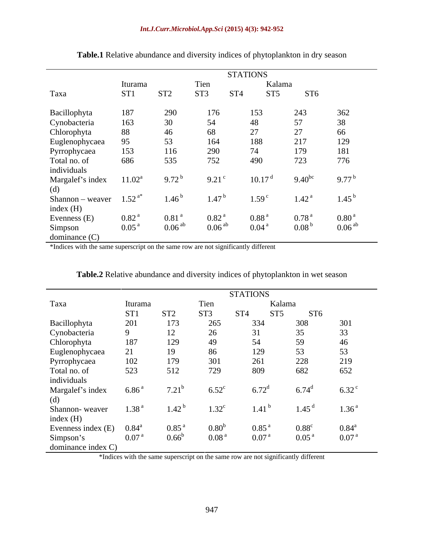|                  |                   |                     |                    | <b>STATIONS</b> |                   |                   |                    |
|------------------|-------------------|---------------------|--------------------|-----------------|-------------------|-------------------|--------------------|
|                  | Iturama           |                     | Tien               |                 | Kalama            |                   |                    |
| Taxa             | ST <sub>1</sub>   | ST <sub>2</sub>     | ST <sub>3</sub>    | ST <sub>4</sub> | ST <sub>5</sub>   | ST <sub>6</sub>   |                    |
| Bacillophyta     | 187               | 290                 | 176                |                 | 153               | 243               | 362                |
| Cynobacteria     | 163               | 30                  | 54                 | 48              |                   | 57                | 38                 |
| Chlorophyta      | 88                | 46                  | 68                 | 27              |                   | 27                | 66                 |
| Euglenophycaea   | 95                | 53                  | 164                |                 | 188               | 217               | 129                |
| Pyrrophycaea     | 153               | 116                 | 290                |                 | 74                | 179               | 181                |
| Total no. of     | 686               | 535                 | 752                |                 | 490               | 723               | 776                |
| individuals      |                   |                     |                    |                 |                   |                   |                    |
| Margalef's index | $11.02^a$         | $9.72^{\mathrm{b}}$ | 9.21               |                 | 10.17             | $9.40^{bc}$       | $9.77^{b}$         |
| (d)              |                   |                     |                    |                 |                   |                   |                    |
| Shannon - weaver | $1.52^{a*}$       | $1.46^{\circ}$      | $1.47^{\text{h}}$  |                 | 1.59 <sup>c</sup> | 1.42 <sup>a</sup> | $1.45^{b}$         |
| index (H)        |                   |                     |                    |                 |                   |                   |                    |
| Evenness (E)     | 0.82 <sup>a</sup> | 0.81 <sup>a</sup>   | 0.82 <sup>a</sup>  |                 | 0.88 <sup>a</sup> | 0.78 <sup>a</sup> | 0.80 <sup>a</sup>  |
| Simpson          | 0.05 <sup>a</sup> | 0.06 <sup>ab</sup>  | 0.06 <sup>ab</sup> |                 | 0.04 <sup>a</sup> | 0.08 <sup>b</sup> | 0.06 <sup>ab</sup> |
| dominance $(C)$  |                   |                     |                    |                 |                   |                   |                    |

**Table.1** Relative abundance and diversity indices of phytoplankton in dry season

\*Indices with the same superscript on the same row are not significantly different

|                    |                   |                   |                   | <b>STATIONS</b>                    |                   |                     |
|--------------------|-------------------|-------------------|-------------------|------------------------------------|-------------------|---------------------|
| Taxa               | Iturama           |                   | Tien              |                                    | Kalama            |                     |
|                    | ST <sub>1</sub>   | ST <sub>2</sub>   | ST <sub>3</sub>   | ST <sub>5</sub><br>ST <sub>4</sub> | ST <sub>6</sub>   |                     |
| Bacillophyta       | 201               | 173               | 265               | 334                                | 308               | 301                 |
| Cynobacteria       | 9                 | 12                | 26                | 31                                 | 35                | 33                  |
| Chlorophyta        | 187               | 129               | 49                | 54                                 | 59                | 46                  |
| Euglenophycaea     | 21                | 19                | 86                | 129                                | 53                | 53                  |
| Pyrrophycaea       | 102               | 179               | 301               | 261                                | 228               | 219                 |
| Total no. of       | 523               | 512               | 729               | 809                                | 682               | 652                 |
| individuals        |                   |                   |                   |                                    |                   |                     |
| Margalef's index   | 6.86 <sup>a</sup> | $7.21^{b}$        | $6.52^{\circ}$    | $6.72^{\rm d}$                     | $6.74^{\rm d}$    | $6.32$ <sup>c</sup> |
| (d)                |                   |                   |                   |                                    |                   |                     |
| Shannon-weaver     | 1.38 <sup>a</sup> | 1.42 <sup>b</sup> | $1.32^{\circ}$    | 1.41                               | 1.45 <sup>d</sup> | 1.36 <sup>a</sup>   |
| index $(H)$        |                   |                   |                   |                                    |                   |                     |
| Evenness index (E) | $0.84^{\circ}$    | 0.85 <sup>a</sup> | 0.80 <sup>b</sup> | $0.85^{\frac{5}{5}}$               | $0.88^{\circ}$    | $0.84^{\text{a}}$   |
| Simpson's          | 0.07 <sup>a</sup> | $0.66^{\rm b}$    | 0.08 <sup>a</sup> | $0.07^{\circ}$                     | 0.05 <sup>a</sup> | 0.07 <sup>a</sup>   |
| dominance index C) |                   |                   |                   |                                    |                   |                     |

**Table.2** Relative abundance and diversity indices of phytoplankton in wet season

\*Indices with the same superscript on the same row are not significantly different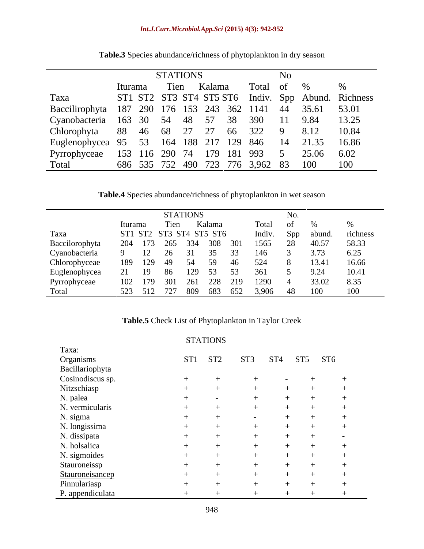|                                                            |                                  | <b>STATIONS</b> |      |  |        |  |       | N <sub>0</sub> |                |                                                    |  |  |
|------------------------------------------------------------|----------------------------------|-----------------|------|--|--------|--|-------|----------------|----------------|----------------------------------------------------|--|--|
|                                                            | Iturama                          |                 | Tien |  | Kalama |  | Total | of %           |                |                                                    |  |  |
| Taxa                                                       |                                  |                 |      |  |        |  |       |                |                | ST1 ST2 ST3 ST4 ST5 ST6 Indiv. Spp Abund. Richness |  |  |
| Baccilirophyta 187 290 176 153 243 362 1141 44 35.61 53.01 |                                  |                 |      |  |        |  |       |                |                |                                                    |  |  |
| Cyanobacteria 163 30 54 48 57 38 390 11 9.84               |                                  |                 |      |  |        |  |       |                |                | 13.25                                              |  |  |
| Chlorophyta 88 46 68 27 27 66 322 9                        |                                  |                 |      |  |        |  |       |                | 8.12           | 10.84                                              |  |  |
| Euglenophycea 95 53 164 188 217 129 846                    |                                  |                 |      |  |        |  |       |                | 14 21.35 16.86 |                                                    |  |  |
| Pyrrophyceae 153 116 290 74 179 181 993                    |                                  |                 |      |  |        |  |       | $\overline{5}$ | 25.06          | 6.02                                               |  |  |
| Total                                                      | 686 535 752 490 723 776 3,962 83 |                 |      |  |        |  |       |                | - 100          | 100                                                |  |  |

**Table.3** Species abundance/richness of phytoplankton in dry season

**Table.4** Species abundance/richness of phytoplankton in wet season

|                | <b>STATIONS</b>         |      |     |        |         |        | INO. |        |          |  |  |  |
|----------------|-------------------------|------|-----|--------|---------|--------|------|--------|----------|--|--|--|
|                | Iturama                 | Tien |     | Kalama |         | Total  | - OT |        |          |  |  |  |
| Taxa           | ST1 ST2 ST3 ST4 ST5 ST6 |      |     |        |         | Indiv. | Spp  | abund. | richness |  |  |  |
| Baccilorophyta | 204 173 265 334         |      |     |        | 308 301 | 1565   | 28   | 40.57  | 58.33    |  |  |  |
| Cyanobacteria  |                         |      |     |        |         |        |      |        | 6.25     |  |  |  |
| Chlorophyceae  | 129<br>189              | 49   | 54  | 59     | -46     | 524    |      | 13.41  | 16.66    |  |  |  |
| Euglenophycea  | 19                      | 86   | ⊘ G | 53     |         | 361    |      | 9.24   | 10.41    |  |  |  |
| Pyrrophyceae   | 102 179                 | 301  | 261 | 228    | 219     | 1290   |      | 33.02  | 8.35     |  |  |  |
| Total          | 523 512 727             |      | 809 | 683    | 652     | 3,906  | 48   | 100    | 100      |  |  |  |

**Table.5** Check List of Phytoplankton in Taylor Creek

|                                       |         | STATIONS |                 |                 |         |  |
|---------------------------------------|---------|----------|-----------------|-----------------|---------|--|
| Taxa:<br>Organisms<br>Bacillariophyta |         |          |                 |                 |         |  |
|                                       | ST1 ST2 |          | ST <sub>3</sub> | ST <sub>4</sub> | ST5 ST6 |  |
|                                       |         |          |                 |                 |         |  |
| Cosinodiscus sp.                      |         |          |                 |                 |         |  |
| Nitzschiasp                           |         |          |                 |                 |         |  |
| N. palea                              |         |          |                 |                 |         |  |
| N. vermicularis                       |         |          |                 |                 |         |  |
| N. sigma                              |         |          |                 |                 |         |  |
| N. longissima                         |         |          |                 |                 |         |  |
| N. dissipata                          |         |          |                 |                 |         |  |
| N. holsalica                          |         |          |                 |                 |         |  |
| N. sigmoides                          |         |          |                 |                 |         |  |
| Stauroneissp                          |         |          |                 |                 |         |  |
| Stauroneisancep                       |         |          |                 |                 |         |  |
| Pinnulariasp                          |         |          |                 |                 |         |  |
| P. appendiculata                      |         |          |                 |                 |         |  |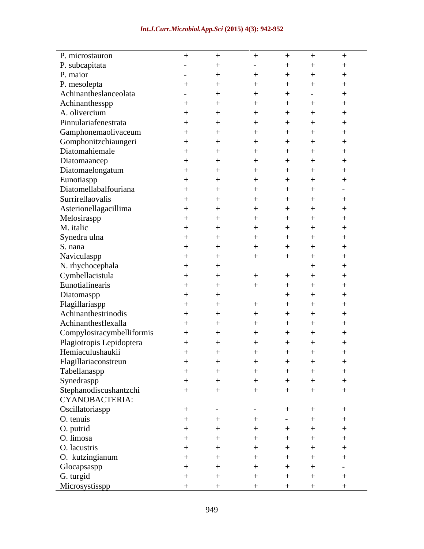#### *Int.J.Curr.Microbiol.App.Sci* **(2015) 4(3): 942-952**

| P. microstauron           |                          |     |     | $^{+}$ |     |         |
|---------------------------|--------------------------|-----|-----|--------|-----|---------|
| P. subcapitata            | $\overline{\phantom{0}}$ |     |     |        |     |         |
| P. maior                  | $\overline{\phantom{0}}$ |     |     |        |     |         |
| P. mesolepta              |                          |     |     |        |     |         |
| Achinantheslanceolata     | $\overline{\phantom{0}}$ |     |     |        |     |         |
| Achinanthesspp            |                          |     |     |        |     |         |
| A. olivercium             |                          |     |     |        |     |         |
| Pinnulariafenestrata      |                          |     |     |        |     |         |
| Gamphonemaolivaceum       |                          |     |     |        |     |         |
|                           |                          |     |     |        |     |         |
| Gomphonitzchiaungeri      |                          |     |     |        |     |         |
| Diatomahiemale            |                          |     |     |        |     |         |
| Diatomaancep              |                          |     |     |        |     |         |
| Diatomaelongatum          |                          |     |     |        |     |         |
| Eunotiaspp                |                          |     |     |        |     |         |
| Diatomellabalfouriana     |                          |     |     |        |     |         |
| Surrirellaovalis          |                          |     |     |        |     |         |
| Asterionellagacillima     |                          |     |     |        |     |         |
| Melosiraspp               |                          |     |     |        |     |         |
| M. italic                 |                          |     |     |        |     |         |
|                           |                          |     |     |        |     |         |
| Synedra ulna              |                          |     |     |        |     |         |
| S. nana                   |                          |     |     |        |     |         |
| Naviculaspp               |                          |     |     |        |     |         |
| N. rhychocephala          |                          |     |     |        |     |         |
| Cymbellacistula           |                          |     |     |        |     |         |
| Eunotialinearis           |                          |     |     |        |     |         |
| Diatomaspp                |                          |     |     |        |     |         |
| Flagillariaspp            |                          |     |     |        |     |         |
| Achinanthestrinodis       |                          |     |     |        |     |         |
| Achinanthesflexalla       |                          |     |     |        |     |         |
| Compylosiracymbelliformis |                          |     |     |        |     |         |
|                           |                          |     |     |        |     |         |
| Plagiotropis Lepidoptera  |                          |     |     |        |     |         |
| Hemiaculushaukii          |                          |     |     |        |     |         |
| Flagillariaconstreun      | $+$ $-$                  | $+$ | $+$ | $+$    | $+$ | $\perp$ |
| Tabellanaspp              |                          |     |     |        |     |         |
| Synedraspp                |                          |     |     |        |     |         |
| Stephanodiscushantzchi    |                          |     |     |        |     |         |
| CYANOBACTERIA:            |                          |     |     |        |     |         |
| Oscillatoriaspp           |                          |     |     |        |     |         |
| O. tenuis                 |                          |     |     |        |     |         |
| O. putrid                 |                          |     |     |        |     |         |
| O. limosa                 |                          |     |     |        |     |         |
| O. lacustris              |                          |     |     |        |     |         |
|                           |                          |     |     |        |     |         |
| O. kutzingianum           |                          |     |     |        |     |         |
| Glocapsaspp               |                          |     |     |        |     |         |
| G. turgid                 |                          |     |     |        |     |         |
| Microsystisspp            |                          |     |     |        |     |         |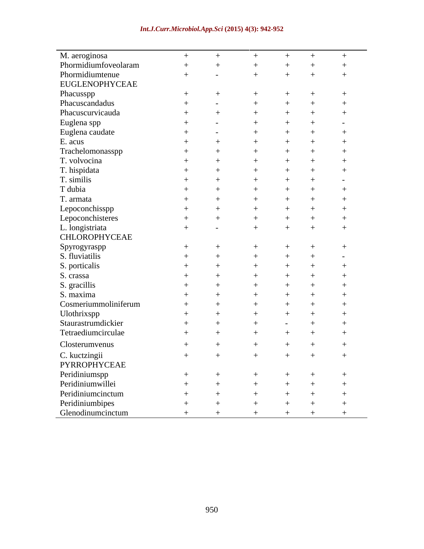| M. aeroginosa                        | $+$    | $+$                      | $+$    | $+$    | $+$    | $+$                      |
|--------------------------------------|--------|--------------------------|--------|--------|--------|--------------------------|
| Phormidiumfoveolaram                 |        |                          |        |        |        |                          |
| Phormidiumtenue                      | $^{+}$ | $\overline{\phantom{0}}$ |        |        |        |                          |
| EUGLENOPHYCEAE                       |        |                          |        |        |        |                          |
| Phacusspp                            | $^{+}$ |                          |        |        |        |                          |
| Phacuscandadus                       |        |                          |        |        |        |                          |
| Phacuscurvicauda                     |        |                          |        |        |        |                          |
| Euglena spp                          |        |                          |        |        |        |                          |
| Euglena caudate                      |        | $\overline{\phantom{0}}$ |        |        |        |                          |
| E. acus                              |        |                          |        |        |        |                          |
| Trachelomonasspp                     |        |                          |        |        |        |                          |
| T. volvocina                         |        |                          |        |        |        |                          |
| T. hispidata                         |        |                          |        |        |        |                          |
| T. similis                           |        |                          |        |        |        |                          |
| T dubia                              |        |                          |        |        |        |                          |
| T. armata                            |        |                          |        |        |        |                          |
| Lepoconchisspp                       |        |                          |        |        |        |                          |
| Lepoconchisteres                     |        |                          |        |        |        |                          |
| L. longistriata                      |        |                          |        |        |        |                          |
| CHLOROPHYCEAE                        |        |                          |        |        |        |                          |
| Spyrogyraspp                         |        |                          |        |        |        |                          |
| S. fluviatilis                       |        |                          |        |        |        | $\overline{\phantom{a}}$ |
| S. porticalis                        |        |                          |        |        |        |                          |
| S. crassa                            |        |                          |        |        |        |                          |
| S. gracillis                         |        |                          |        |        |        |                          |
| S. maxima                            |        |                          |        |        |        |                          |
| Cosmeriummoliniferum                 |        |                          |        |        |        |                          |
| Ulothrixspp                          |        |                          |        |        |        |                          |
| Staurastrumdickier                   |        |                          |        |        |        |                          |
| Tetraediumcirculae                   |        |                          |        |        |        |                          |
| Closterumvenus                       |        |                          |        |        |        |                          |
|                                      |        |                          |        |        |        |                          |
| C. kuctzingii                        | $^{+}$ |                          | $^{+}$ | $^{+}$ | $^{+}$ | $+$                      |
| PYRROPHYCEAE<br>Peridiniumspp        |        |                          |        |        |        | $\rightarrow$            |
| Peridiniumwillei                     |        |                          |        |        |        |                          |
| Peridiniumcinctum                    |        |                          |        |        |        |                          |
|                                      |        |                          |        |        |        |                          |
| Peridiniumbipes<br>Glenodinumcinctum |        |                          |        |        |        |                          |
|                                      |        |                          |        |        |        |                          |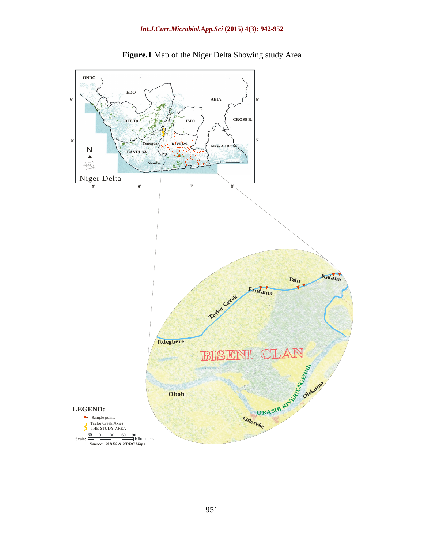

**Figure.1** Map of the Niger Delta Showing study Area